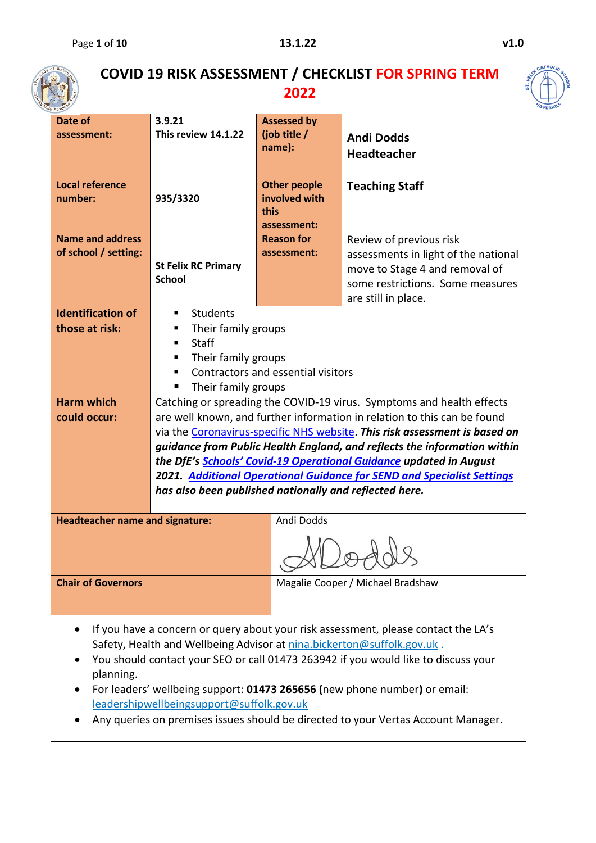

## **COVID 19 RISK ASSESSMENT / CHECKLIST FOR SPRING TERM 2022**



| Academy                                |                                                                                                   |                                    |                                                                                    |  |  |  |  |  |
|----------------------------------------|---------------------------------------------------------------------------------------------------|------------------------------------|------------------------------------------------------------------------------------|--|--|--|--|--|
| Date of                                | 3.9.21                                                                                            | <b>Assessed by</b>                 |                                                                                    |  |  |  |  |  |
| assessment:                            | This review 14.1.22                                                                               | (job title /                       | <b>Andi Dodds</b>                                                                  |  |  |  |  |  |
|                                        |                                                                                                   | name):                             | <b>Headteacher</b>                                                                 |  |  |  |  |  |
|                                        |                                                                                                   |                                    |                                                                                    |  |  |  |  |  |
| <b>Local reference</b>                 |                                                                                                   | <b>Other people</b>                | <b>Teaching Staff</b>                                                              |  |  |  |  |  |
| number:                                | 935/3320                                                                                          | involved with                      |                                                                                    |  |  |  |  |  |
|                                        |                                                                                                   | this                               |                                                                                    |  |  |  |  |  |
|                                        |                                                                                                   | assessment:                        |                                                                                    |  |  |  |  |  |
| <b>Name and address</b>                |                                                                                                   | <b>Reason for</b>                  | Review of previous risk                                                            |  |  |  |  |  |
| of school / setting:                   |                                                                                                   | assessment:                        | assessments in light of the national                                               |  |  |  |  |  |
|                                        | <b>St Felix RC Primary</b>                                                                        |                                    | move to Stage 4 and removal of                                                     |  |  |  |  |  |
|                                        | <b>School</b>                                                                                     |                                    | some restrictions. Some measures                                                   |  |  |  |  |  |
|                                        |                                                                                                   |                                    | are still in place.                                                                |  |  |  |  |  |
| <b>Identification of</b>               | <b>Students</b><br>٠                                                                              |                                    |                                                                                    |  |  |  |  |  |
| those at risk:                         | Their family groups<br>ш                                                                          |                                    |                                                                                    |  |  |  |  |  |
|                                        | Staff<br>٠                                                                                        |                                    |                                                                                    |  |  |  |  |  |
|                                        | Their family groups<br>п                                                                          |                                    |                                                                                    |  |  |  |  |  |
|                                        | ٠                                                                                                 | Contractors and essential visitors |                                                                                    |  |  |  |  |  |
|                                        | Their family groups<br>٠                                                                          |                                    |                                                                                    |  |  |  |  |  |
| <b>Harm which</b>                      |                                                                                                   |                                    | Catching or spreading the COVID-19 virus. Symptoms and health effects              |  |  |  |  |  |
| could occur:                           |                                                                                                   |                                    | are well known, and further information in relation to this can be found           |  |  |  |  |  |
|                                        |                                                                                                   |                                    | via the Coronavirus-specific NHS website. This risk assessment is based on         |  |  |  |  |  |
|                                        |                                                                                                   |                                    | guidance from Public Health England, and reflects the information within           |  |  |  |  |  |
|                                        |                                                                                                   |                                    | the DfE's Schools' Covid-19 Operational Guidance updated in August                 |  |  |  |  |  |
|                                        |                                                                                                   |                                    | <b>2021.</b> Additional Operational Guidance for SEND and Specialist Settings      |  |  |  |  |  |
|                                        | has also been published nationally and reflected here.                                            |                                    |                                                                                    |  |  |  |  |  |
|                                        |                                                                                                   |                                    |                                                                                    |  |  |  |  |  |
| <b>Headteacher name and signature:</b> |                                                                                                   | Andi Dodds                         |                                                                                    |  |  |  |  |  |
|                                        |                                                                                                   |                                    |                                                                                    |  |  |  |  |  |
| <b>Chair of Governors</b>              |                                                                                                   |                                    | Magalie Cooper / Michael Bradshaw                                                  |  |  |  |  |  |
|                                        |                                                                                                   |                                    |                                                                                    |  |  |  |  |  |
|                                        |                                                                                                   |                                    |                                                                                    |  |  |  |  |  |
|                                        |                                                                                                   |                                    | If you have a concern or query about your risk assessment, please contact the LA's |  |  |  |  |  |
|                                        | Safety, Health and Wellbeing Advisor at nina.bickerton@suffolk.gov.uk.                            |                                    |                                                                                    |  |  |  |  |  |
|                                        |                                                                                                   |                                    |                                                                                    |  |  |  |  |  |
|                                        |                                                                                                   |                                    | You should contact your SEO or call 01473 263942 if you would like to discuss your |  |  |  |  |  |
| planning.                              |                                                                                                   |                                    |                                                                                    |  |  |  |  |  |
|                                        |                                                                                                   |                                    | For leaders' wellbeing support: 01473 265656 (new phone number) or email:          |  |  |  |  |  |
|                                        | leadershipwellbeingsupport@suffolk.gov.uk<br>on promises issues should be directed to your Vertes |                                    |                                                                                    |  |  |  |  |  |

• Any queries on premises issues should be directed to your Vertas Account Manager.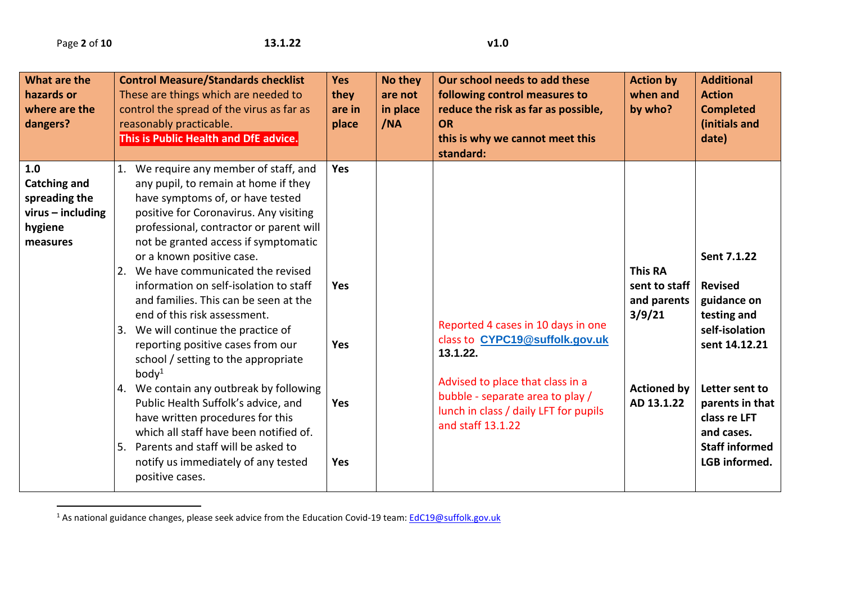$\overline{a}$ 

| What are the<br>hazards or<br>where are the<br>dangers?                                   | <b>Control Measure/Standards checklist</b><br>These are things which are needed to<br>control the spread of the virus as far as<br>reasonably practicable.<br>This is Public Health and DfE advice.                                                                                                                                                                                                                                                                                                                                                                                                                                                                                                                                                                                                                                                  | <b>Yes</b><br>they<br>are in<br>place                       | No they<br>are not<br>in place<br>/NA | Our school needs to add these<br>following control measures to<br>reduce the risk as far as possible,<br><b>OR</b><br>this is why we cannot meet this<br>standard:                                                     | <b>Action by</b><br>when and<br>by who?                                                      | <b>Additional</b><br><b>Action</b><br><b>Completed</b><br>(initials and<br>date)                                                                                                                            |
|-------------------------------------------------------------------------------------------|------------------------------------------------------------------------------------------------------------------------------------------------------------------------------------------------------------------------------------------------------------------------------------------------------------------------------------------------------------------------------------------------------------------------------------------------------------------------------------------------------------------------------------------------------------------------------------------------------------------------------------------------------------------------------------------------------------------------------------------------------------------------------------------------------------------------------------------------------|-------------------------------------------------------------|---------------------------------------|------------------------------------------------------------------------------------------------------------------------------------------------------------------------------------------------------------------------|----------------------------------------------------------------------------------------------|-------------------------------------------------------------------------------------------------------------------------------------------------------------------------------------------------------------|
| 1.0<br><b>Catching and</b><br>spreading the<br>$virus - including$<br>hygiene<br>measures | 1. We require any member of staff, and<br>any pupil, to remain at home if they<br>have symptoms of, or have tested<br>positive for Coronavirus. Any visiting<br>professional, contractor or parent will<br>not be granted access if symptomatic<br>or a known positive case.<br>2. We have communicated the revised<br>information on self-isolation to staff<br>and families. This can be seen at the<br>end of this risk assessment.<br>3. We will continue the practice of<br>reporting positive cases from our<br>school / setting to the appropriate<br>body <sup>1</sup><br>4. We contain any outbreak by following<br>Public Health Suffolk's advice, and<br>have written procedures for this<br>which all staff have been notified of.<br>Parents and staff will be asked to<br>5.<br>notify us immediately of any tested<br>positive cases. | Yes<br><b>Yes</b><br><b>Yes</b><br><b>Yes</b><br><b>Yes</b> |                                       | Reported 4 cases in 10 days in one<br>class to CYPC19@suffolk.gov.uk<br>13.1.22.<br>Advised to place that class in a<br>bubble - separate area to play /<br>lunch in class / daily LFT for pupils<br>and staff 13.1.22 | <b>This RA</b><br>sent to staff<br>and parents<br>3/9/21<br><b>Actioned by</b><br>AD 13.1.22 | Sent 7.1.22<br><b>Revised</b><br>guidance on<br>testing and<br>self-isolation<br>sent 14.12.21<br>Letter sent to<br>parents in that<br>class re LFT<br>and cases.<br><b>Staff informed</b><br>LGB informed. |

<sup>1</sup> As national guidance changes, please seek advice from the Education Covid-19 team: [EdC19@suffolk.gov.uk](mailto:EdC19@suffolk.gov.uk)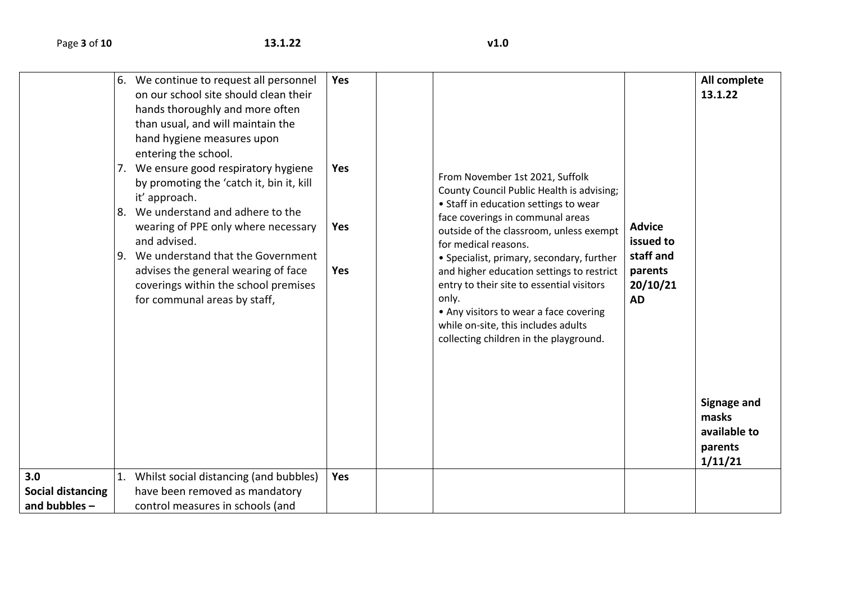|                          | 8.<br>9. | 6. We continue to request all personnel<br>on our school site should clean their<br>hands thoroughly and more often<br>than usual, and will maintain the<br>hand hygiene measures upon<br>entering the school.<br>7. We ensure good respiratory hygiene<br>by promoting the 'catch it, bin it, kill<br>it' approach.<br>We understand and adhere to the<br>wearing of PPE only where necessary<br>and advised.<br>We understand that the Government<br>advises the general wearing of face<br>coverings within the school premises<br>for communal areas by staff, | <b>Yes</b><br><b>Yes</b><br><b>Yes</b><br>Yes | From November 1st 2021, Suffolk<br>County Council Public Health is advising;<br>• Staff in education settings to wear<br>face coverings in communal areas<br>outside of the classroom, unless exempt<br>for medical reasons.<br>• Specialist, primary, secondary, further<br>and higher education settings to restrict<br>entry to their site to essential visitors<br>only.<br>• Any visitors to wear a face covering<br>while on-site, this includes adults<br>collecting children in the playground. | <b>Advice</b><br>issued to<br>staff and<br>parents<br>20/10/21<br><b>AD</b> | All complete<br>13.1.22<br><b>Signage and</b> |
|--------------------------|----------|--------------------------------------------------------------------------------------------------------------------------------------------------------------------------------------------------------------------------------------------------------------------------------------------------------------------------------------------------------------------------------------------------------------------------------------------------------------------------------------------------------------------------------------------------------------------|-----------------------------------------------|---------------------------------------------------------------------------------------------------------------------------------------------------------------------------------------------------------------------------------------------------------------------------------------------------------------------------------------------------------------------------------------------------------------------------------------------------------------------------------------------------------|-----------------------------------------------------------------------------|-----------------------------------------------|
|                          |          |                                                                                                                                                                                                                                                                                                                                                                                                                                                                                                                                                                    |                                               |                                                                                                                                                                                                                                                                                                                                                                                                                                                                                                         |                                                                             | masks<br>available to<br>parents<br>1/11/21   |
| 3.0                      | 1.       | Whilst social distancing (and bubbles)                                                                                                                                                                                                                                                                                                                                                                                                                                                                                                                             | <b>Yes</b>                                    |                                                                                                                                                                                                                                                                                                                                                                                                                                                                                                         |                                                                             |                                               |
| <b>Social distancing</b> |          | have been removed as mandatory                                                                                                                                                                                                                                                                                                                                                                                                                                                                                                                                     |                                               |                                                                                                                                                                                                                                                                                                                                                                                                                                                                                                         |                                                                             |                                               |
| and bubbles -            |          | control measures in schools (and                                                                                                                                                                                                                                                                                                                                                                                                                                                                                                                                   |                                               |                                                                                                                                                                                                                                                                                                                                                                                                                                                                                                         |                                                                             |                                               |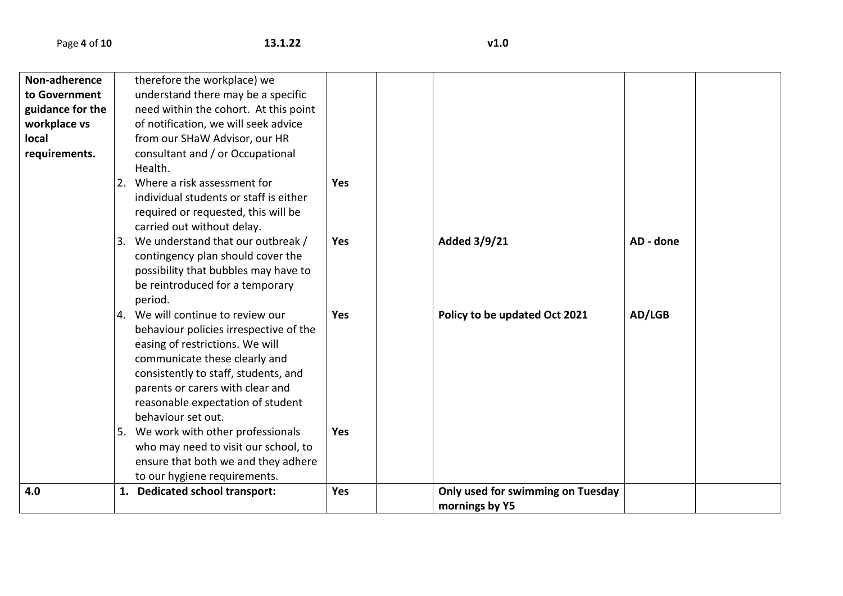| Non-adherence    | therefore the workplace) we            |            |                                   |           |  |
|------------------|----------------------------------------|------------|-----------------------------------|-----------|--|
| to Government    | understand there may be a specific     |            |                                   |           |  |
| guidance for the | need within the cohort. At this point  |            |                                   |           |  |
| workplace vs     | of notification, we will seek advice   |            |                                   |           |  |
| local            | from our SHaW Advisor, our HR          |            |                                   |           |  |
| requirements.    | consultant and / or Occupational       |            |                                   |           |  |
|                  | Health.                                |            |                                   |           |  |
|                  | 2. Where a risk assessment for         | <b>Yes</b> |                                   |           |  |
|                  | individual students or staff is either |            |                                   |           |  |
|                  | required or requested, this will be    |            |                                   |           |  |
|                  | carried out without delay.             |            |                                   |           |  |
|                  | 3. We understand that our outbreak /   | <b>Yes</b> | Added 3/9/21                      | AD - done |  |
|                  | contingency plan should cover the      |            |                                   |           |  |
|                  | possibility that bubbles may have to   |            |                                   |           |  |
|                  | be reintroduced for a temporary        |            |                                   |           |  |
|                  | period.                                |            |                                   |           |  |
|                  | 4. We will continue to review our      | Yes        | Policy to be updated Oct 2021     | AD/LGB    |  |
|                  | behaviour policies irrespective of the |            |                                   |           |  |
|                  | easing of restrictions. We will        |            |                                   |           |  |
|                  | communicate these clearly and          |            |                                   |           |  |
|                  | consistently to staff, students, and   |            |                                   |           |  |
|                  | parents or carers with clear and       |            |                                   |           |  |
|                  | reasonable expectation of student      |            |                                   |           |  |
|                  | behaviour set out.                     |            |                                   |           |  |
|                  | 5. We work with other professionals    | <b>Yes</b> |                                   |           |  |
|                  | who may need to visit our school, to   |            |                                   |           |  |
|                  | ensure that both we and they adhere    |            |                                   |           |  |
|                  | to our hygiene requirements.           |            |                                   |           |  |
| 4.0              | 1. Dedicated school transport:         | Yes        | Only used for swimming on Tuesday |           |  |
|                  |                                        |            | mornings by Y5                    |           |  |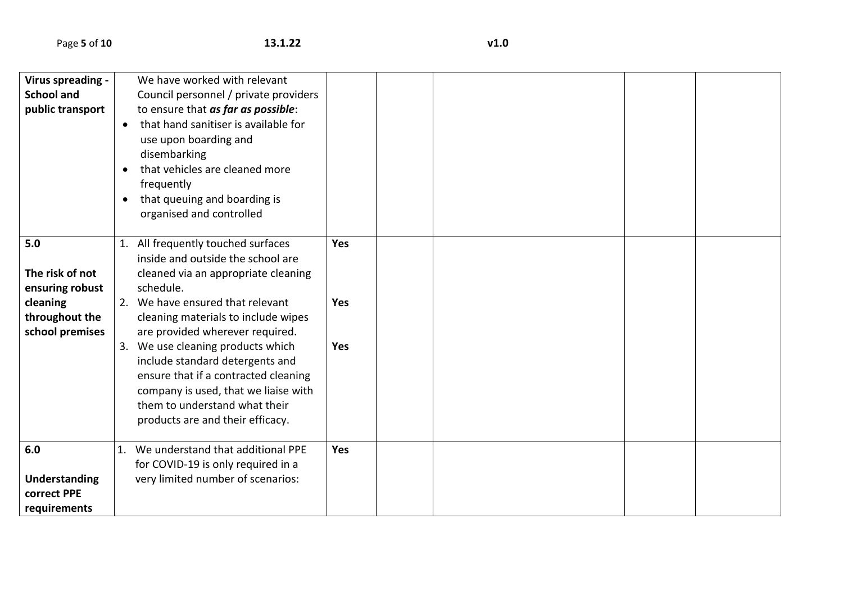| Virus spreading -<br><b>School and</b><br>public transport                                 | $\bullet$<br>$\bullet$<br>$\bullet$ | We have worked with relevant<br>Council personnel / private providers<br>to ensure that as far as possible:<br>that hand sanitiser is available for<br>use upon boarding and<br>disembarking<br>that vehicles are cleaned more<br>frequently<br>that queuing and boarding is                                                                                                                                                                                           |                                 |  |  |  |
|--------------------------------------------------------------------------------------------|-------------------------------------|------------------------------------------------------------------------------------------------------------------------------------------------------------------------------------------------------------------------------------------------------------------------------------------------------------------------------------------------------------------------------------------------------------------------------------------------------------------------|---------------------------------|--|--|--|
|                                                                                            |                                     | organised and controlled                                                                                                                                                                                                                                                                                                                                                                                                                                               |                                 |  |  |  |
| 5.0<br>The risk of not<br>ensuring robust<br>cleaning<br>throughout the<br>school premises |                                     | 1. All frequently touched surfaces<br>inside and outside the school are<br>cleaned via an appropriate cleaning<br>schedule.<br>2. We have ensured that relevant<br>cleaning materials to include wipes<br>are provided wherever required.<br>3. We use cleaning products which<br>include standard detergents and<br>ensure that if a contracted cleaning<br>company is used, that we liaise with<br>them to understand what their<br>products are and their efficacy. | Yes<br><b>Yes</b><br><b>Yes</b> |  |  |  |
| 6.0<br><b>Understanding</b><br>correct PPE<br>requirements                                 |                                     | 1. We understand that additional PPE<br>for COVID-19 is only required in a<br>very limited number of scenarios:                                                                                                                                                                                                                                                                                                                                                        | Yes                             |  |  |  |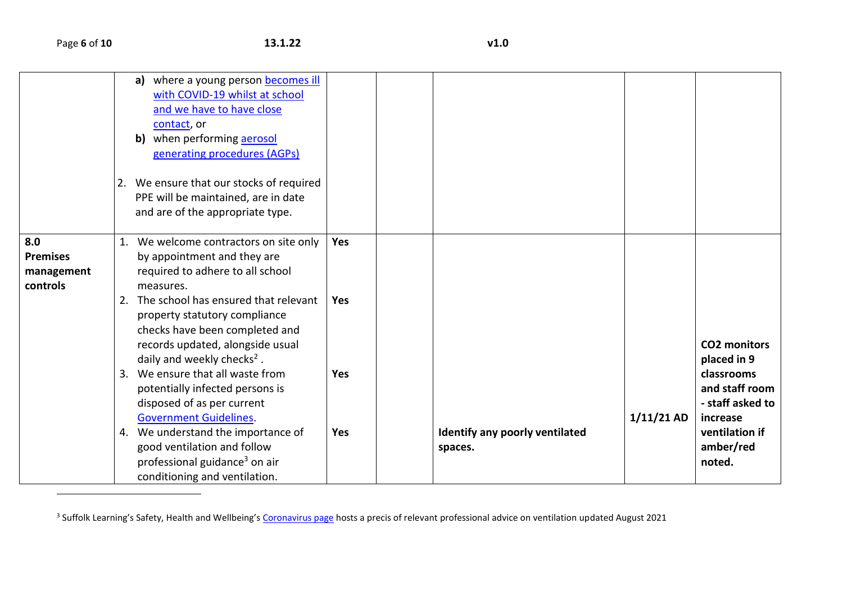$\overline{\phantom{a}}$ 

|                                                  | a) where a young person becomes ill<br>with COVID-19 whilst at school<br>and we have to have close<br>contact, or<br>when performing aerosol<br>b)<br>generating procedures (AGPs)<br>2. We ensure that our stocks of required<br>PPE will be maintained, are in date<br>and are of the appropriate type.                                                           |                   |                                           |              |                                                                                                                                             |
|--------------------------------------------------|---------------------------------------------------------------------------------------------------------------------------------------------------------------------------------------------------------------------------------------------------------------------------------------------------------------------------------------------------------------------|-------------------|-------------------------------------------|--------------|---------------------------------------------------------------------------------------------------------------------------------------------|
| 8.0<br><b>Premises</b><br>management<br>controls | 1. We welcome contractors on site only<br>by appointment and they are<br>required to adhere to all school<br>measures.<br>2. The school has ensured that relevant<br>property statutory compliance<br>checks have been completed and                                                                                                                                | Yes<br><b>Yes</b> |                                           |              |                                                                                                                                             |
|                                                  | records updated, alongside usual<br>daily and weekly checks <sup>2</sup> .<br>3. We ensure that all waste from<br>potentially infected persons is<br>disposed of as per current<br><b>Government Guidelines.</b><br>4. We understand the importance of<br>good ventilation and follow<br>professional guidance <sup>3</sup> on air<br>conditioning and ventilation. | Yes<br><b>Yes</b> | Identify any poorly ventilated<br>spaces. | $1/11/21$ AD | <b>CO2 monitors</b><br>placed in 9<br>classrooms<br>and staff room<br>- staff asked to<br>increase<br>ventilation if<br>amber/red<br>noted. |

<sup>3</sup> Suffolk Learning's Safety, Health and Wellbeing's <u>[Coronavirus page](https://www.suffolklearning.co.uk/leadership-staff-development/health-safety-wellbeing/coronavirus:-covid-19)</u> hosts a precis of relevant professional advice on ventilation updated August 2021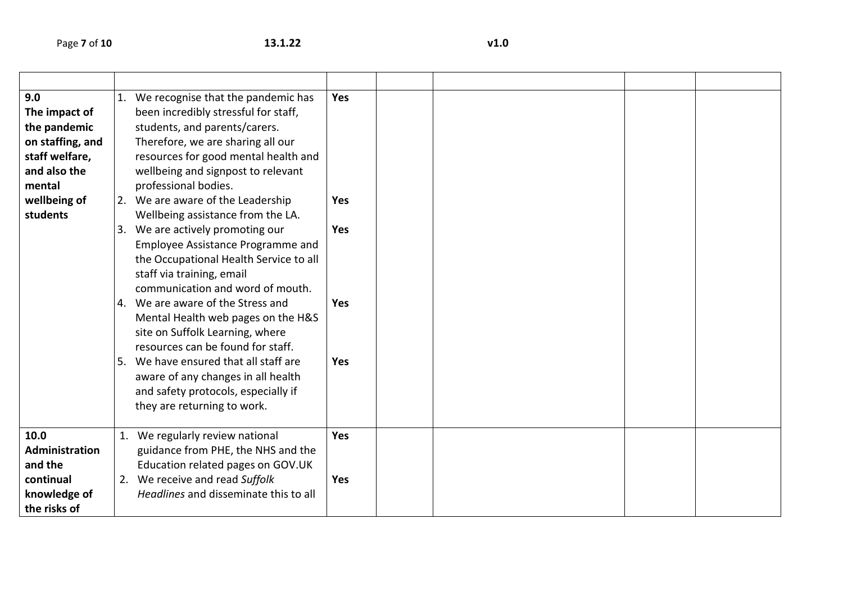| 9.0<br>The impact of<br>the pandemic<br>on staffing, and<br>staff welfare,<br>and also the<br>mental<br>wellbeing of<br>students | 1. We recognise that the pandemic has<br>been incredibly stressful for staff,<br>students, and parents/carers.<br>Therefore, we are sharing all our<br>resources for good mental health and<br>wellbeing and signpost to relevant<br>professional bodies.<br>2. We are aware of the Leadership<br>Wellbeing assistance from the LA.<br>3. We are actively promoting our<br>Employee Assistance Programme and<br>the Occupational Health Service to all<br>staff via training, email<br>communication and word of mouth.<br>4. We are aware of the Stress and<br>Mental Health web pages on the H&S<br>site on Suffolk Learning, where<br>resources can be found for staff.<br>5. We have ensured that all staff are<br>aware of any changes in all health<br>and safety protocols, especially if<br>they are returning to work. | <b>Yes</b><br>Yes<br>Yes<br>Yes<br>Yes |  |  |  |
|----------------------------------------------------------------------------------------------------------------------------------|---------------------------------------------------------------------------------------------------------------------------------------------------------------------------------------------------------------------------------------------------------------------------------------------------------------------------------------------------------------------------------------------------------------------------------------------------------------------------------------------------------------------------------------------------------------------------------------------------------------------------------------------------------------------------------------------------------------------------------------------------------------------------------------------------------------------------------|----------------------------------------|--|--|--|
| 10.0<br><b>Administration</b><br>and the<br>continual<br>knowledge of<br>the risks of                                            | 1. We regularly review national<br>guidance from PHE, the NHS and the<br>Education related pages on GOV.UK<br>2. We receive and read Suffolk<br>Headlines and disseminate this to all                                                                                                                                                                                                                                                                                                                                                                                                                                                                                                                                                                                                                                           | Yes<br>Yes                             |  |  |  |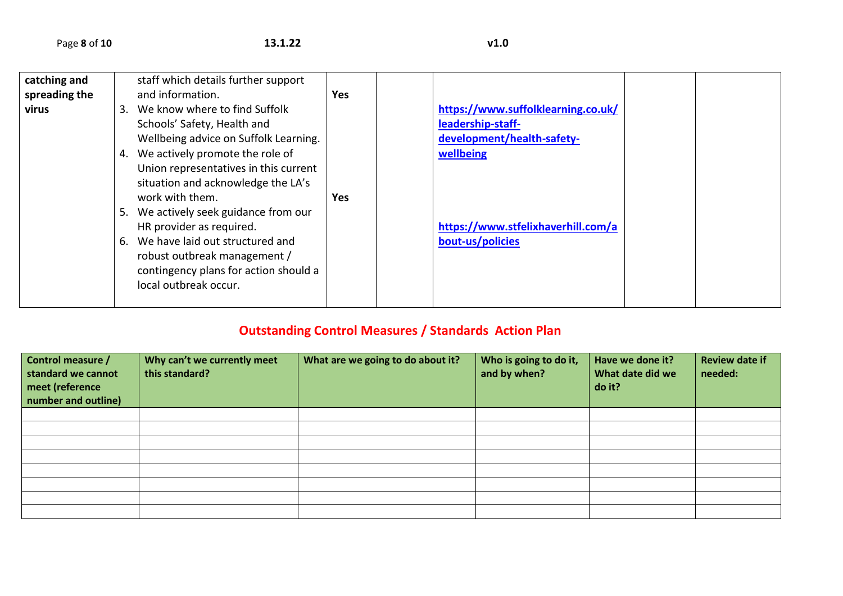| catching and  | staff which details further support   |            |                                    |  |
|---------------|---------------------------------------|------------|------------------------------------|--|
| spreading the | and information.                      | <b>Yes</b> |                                    |  |
| virus         | 3. We know where to find Suffolk      |            | https://www.suffolklearning.co.uk/ |  |
|               | Schools' Safety, Health and           |            | leadership-staff-                  |  |
|               | Wellbeing advice on Suffolk Learning. |            | development/health-safety-         |  |
|               | 4. We actively promote the role of    |            | wellbeing                          |  |
|               | Union representatives in this current |            |                                    |  |
|               | situation and acknowledge the LA's    |            |                                    |  |
|               | work with them.                       | <b>Yes</b> |                                    |  |
|               | 5. We actively seek guidance from our |            |                                    |  |
|               | HR provider as required.              |            | https://www.stfelixhaverhill.com/a |  |
|               | 6. We have laid out structured and    |            | bout-us/policies                   |  |
|               | robust outbreak management /          |            |                                    |  |
|               | contingency plans for action should a |            |                                    |  |
|               | local outbreak occur.                 |            |                                    |  |
|               |                                       |            |                                    |  |

## **Outstanding Control Measures / Standards Action Plan**

| Control measure /<br>standard we cannot<br>meet (reference<br>number and outline) | Why can't we currently meet<br>this standard? | What are we going to do about it? | Who is going to do it,<br>and by when? | Have we done it?<br>What date did we<br>do it? | <b>Review date if</b><br>needed: |
|-----------------------------------------------------------------------------------|-----------------------------------------------|-----------------------------------|----------------------------------------|------------------------------------------------|----------------------------------|
|                                                                                   |                                               |                                   |                                        |                                                |                                  |
|                                                                                   |                                               |                                   |                                        |                                                |                                  |
|                                                                                   |                                               |                                   |                                        |                                                |                                  |
|                                                                                   |                                               |                                   |                                        |                                                |                                  |
|                                                                                   |                                               |                                   |                                        |                                                |                                  |
|                                                                                   |                                               |                                   |                                        |                                                |                                  |
|                                                                                   |                                               |                                   |                                        |                                                |                                  |
|                                                                                   |                                               |                                   |                                        |                                                |                                  |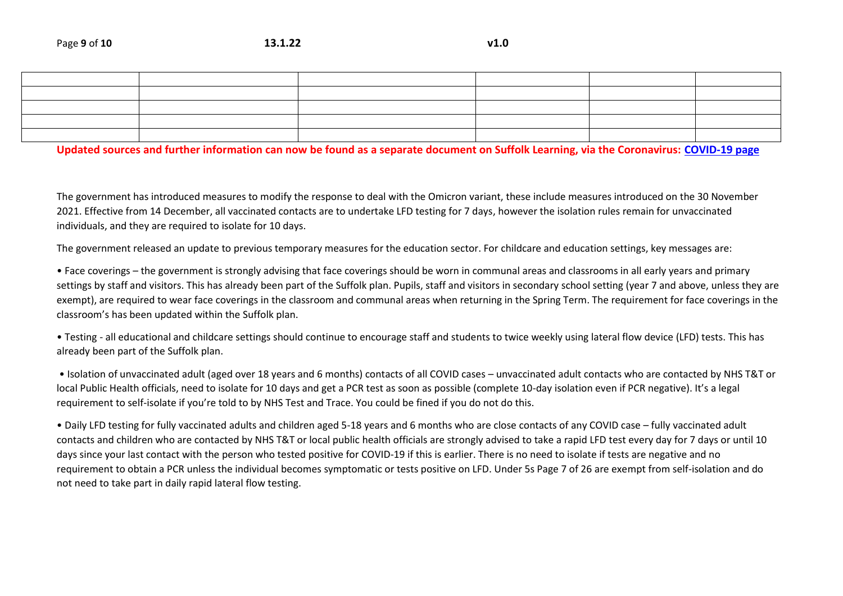## **Updated sources and further information can now be found as a separate document on Suffolk Learning, via the Coronavirus: [COVID-19 page](https://www.suffolklearning.co.uk/leadership-staff-development/health-safety-wellbeing/coronavirus:-covid-19)**

The government has introduced measures to modify the response to deal with the Omicron variant, these include measures introduced on the 30 November 2021. Effective from 14 December, all vaccinated contacts are to undertake LFD testing for 7 days, however the isolation rules remain for unvaccinated individuals, and they are required to isolate for 10 days.

The government released an update to previous temporary measures for the education sector. For childcare and education settings, key messages are:

• Face coverings – the government is strongly advising that face coverings should be worn in communal areas and classrooms in all early years and primary settings by staff and visitors. This has already been part of the Suffolk plan. Pupils, staff and visitors in secondary school setting (year 7 and above, unless they are exempt), are required to wear face coverings in the classroom and communal areas when returning in the Spring Term. The requirement for face coverings in the classroom's has been updated within the Suffolk plan.

• Testing - all educational and childcare settings should continue to encourage staff and students to twice weekly using lateral flow device (LFD) tests. This has already been part of the Suffolk plan.

• Isolation of unvaccinated adult (aged over 18 years and 6 months) contacts of all COVID cases – unvaccinated adult contacts who are contacted by NHS T&T or local Public Health officials, need to isolate for 10 days and get a PCR test as soon as possible (complete 10-day isolation even if PCR negative). It's a legal requirement to self-isolate if you're told to by NHS Test and Trace. You could be fined if you do not do this.

• Daily LFD testing for fully vaccinated adults and children aged 5-18 years and 6 months who are close contacts of any COVID case – fully vaccinated adult contacts and children who are contacted by NHS T&T or local public health officials are strongly advised to take a rapid LFD test every day for 7 days or until 10 days since your last contact with the person who tested positive for COVID-19 if this is earlier. There is no need to isolate if tests are negative and no requirement to obtain a PCR unless the individual becomes symptomatic or tests positive on LFD. Under 5s Page 7 of 26 are exempt from self-isolation and do not need to take part in daily rapid lateral flow testing.